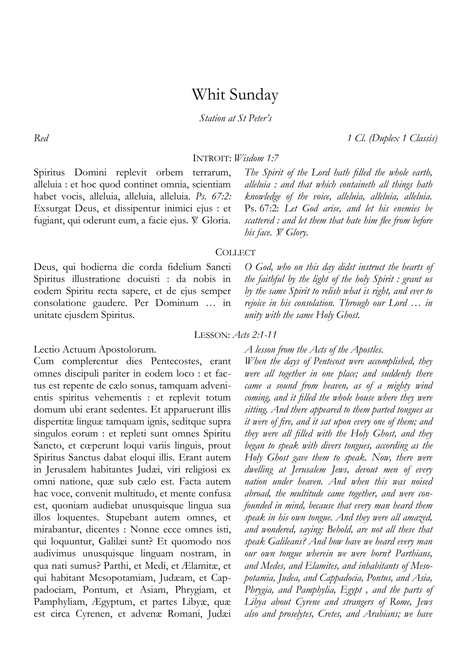# Whit Sunday

*Station at St Peter's*

*Red 1 Cl. (Duplex 1 Classis)*

# INTROIT: *Wisdom 1:7*

Spiritus Domini replevit orbem terrarum, alleluia : et hoc quod continet omnia, scientiam habet vocis, alleluia, alleluia, alleluia. *Ps. 67:2:* Exsurgat Deus, et dissipentur inimici ejus : et fugiant, qui oderunt eum, a facie ejus. V. Gloria.

*The Spirit of the Lord hath filled the whole earth, alleluia : and that which containeth all things hath knowledge of the voice, alleluia, alleluia, alleluia.*  Ps. 67:2: *Let God arise, and let his enemies be scattered : and let them that hate him flee from before his face. W. Glory.* 

### **COLLECT**

Deus, qui hodierna die corda fidelium Sancti Spiritus illustratione docuisti : da nobis in eodem Spiritu recta sapere, et de ejus semper consolatione gaudere. Per Dominum … in unitate ejusdem Spiritus.

*O God, who on this day didst instruct the hearts of the faithful by the light of the holy Spirit : grant us by the same Spirit to relish what is right, and ever to rejoice in his consolation. Through our Lord … in unity with the same Holy Ghost.* 

# LESSON: *Acts 2:1-11*

Lectio Actuum Apostolorum.

Cum complerentur dies Pentecostes, erant omnes discipuli pariter in eodem loco : et factus est repente de cælo sonus, tamquam advenientis spiritus vehementis : et replevit totum domum ubi erant sedentes. Et apparuerunt illis dispertitæ linguæ tamquam ignis, seditque supra singulos eorum : et repleti sunt omnes Spiritu Sancto, et cœperunt loqui variis linguis, prout Spiritus Sanctus dabat eloqui illis. Erant autem in Jerusalem habitantes Judæi, viri religiosi ex omni natione, quæ sub cælo est. Facta autem hac voce, convenit multitudo, et mente confusa est, quoniam audiebat unusquisque lingua sua illos loquentes. Stupebant autem omnes, et mirabantur, dicentes : Nonne ecce omnes isti, qui loquuntur, Galilæi sunt? Et quomodo nos audivimus unusquisque linguam nostram, in qua nati sumus? Parthi, et Medi, et Ælamitæ, et qui habitant Mesopotamiam, Judæam, et Cappadociam, Pontum, et Asiam, Phrygiam, et Pamphyliam, Ægyptum, et partes Libyæ, quæ est circa Cyrenen, et advenæ Romani, Judæi *A lesson from the Acts of the Apostles.* 

*When the days of Pentecost were accomplished, they were all together in one place; and suddenly there came a sound from heaven, as of a mighty wind coming, and it filled the whole house where they were sitting. And there appeared to them parted tongues as it were of fire, and it sat upon every one of them; and they were all filled with the Holy Ghost, and they began to speak with divers tongues, according as the Holy Ghost gave them to speak. Now, there were dwelling at Jerusalem Jews, devout men of every nation under heaven. And when this was noised abroad, the multitude came together, and were confounded in mind, because that every man heard them speak in his own tongue. And they were all amazed, and wondered, saying: Behold, are not all these that speak Galileans? And how have we heard every man our own tongue wherein we were born? Parthians, and Medes, and Elamites, and inhabitants of Mesopotamia, Judea, and Cappadocia, Pontus, and Asia, Phrygia, and Pamphylia, Egypt , and the parts of Libya about Cyrene and strangers of Rome, Jews also and proselytes, Cretes, and Arabians; we have*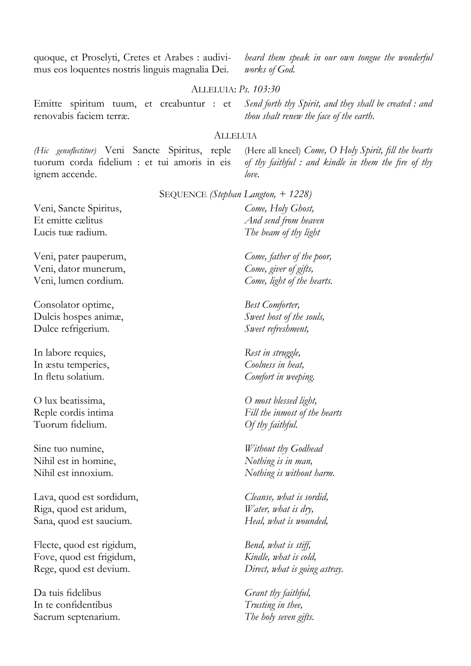quoque, et Proselyti, Cretes et Arabes : audivimus eos loquentes nostris linguis magnalia Dei.

*heard them speak in our own tongue the wonderful works of God.* 

### ALLELUIA: *Ps. 103:30*

Emitte spiritum tuum, et creabuntur : et renovabis faciem terræ.

*Send forth thy Spirit, and they shall be created : and thou shalt renew the face of the earth.* 

# ALLELUIA

*(Hic genuflectitur)* Veni Sancte Spiritus, reple tuorum corda fidelium : et tui amoris in eis ignem accende.

(Here all kneel) *Come, O Holy Spirit, fill the hearts of thy faithful : and kindle in them the fire of thy love.* 

SEQUENCE *(Stephan Langton, + 1228)*

Veni, Sancte Spiritus, Et emitte cælitus Lucis tuæ radium.

Veni, pater pauperum, Veni, dator munerum, Veni, lumen cordium.

Consolator optime, Dulcis hospes animæ, Dulce refrigerium.

In labore requies, In æstu temperies, In fletu solatium.

O lux beatissima, Reple cordis intima Tuorum fidelium.

Sine tuo numine, Nihil est in homine, Nihil est innoxium.

Lava, quod est sordidum, Riga, quod est aridum, Sana, quod est saucium.

Flecte, quod est rigidum, Fove, quod est frigidum, Rege, quod est devium.

Da tuis fidelibus In te confidentibus Sacrum septenarium.

*Come, Holy Ghost, And send from heaven The beam of thy light*

*Come, father of the poor, Come, giver of gifts, Come, light of the hearts.* 

*Best Comforter, Sweet host of the souls, Sweet refreshment,* 

*Rest in struggle, Coolness in heat, Comfort in weeping.* 

*O most blessed light, Fill the inmost of the hearts Of thy faithful.* 

*Without thy Godhead Nothing is in man, Nothing is without harm.* 

*Cleanse, what is sordid, Water, what is dry, Heal, what is wounded,* 

*Bend, what is stiff, Kindle, what is cold, Direct, what is going astray.* 

*Grant thy faithful, Trusting in thee, The holy seven gifts.*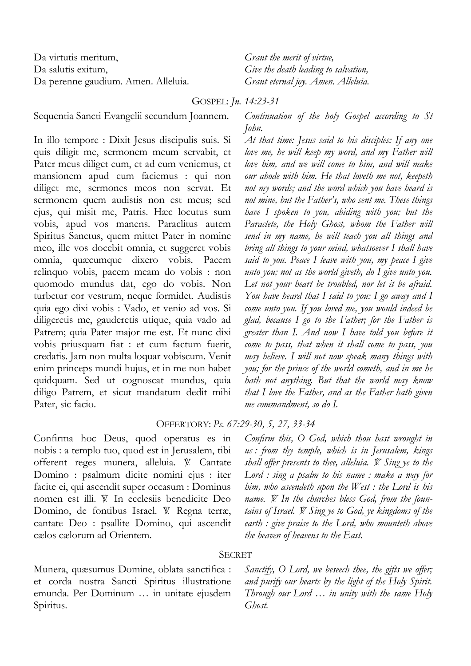Da virtutis meritum, Da salutis exitum, Da perenne gaudium. Amen. Alleluia. *Grant the merit of virtue, Give the death leading to salvation, Grant eternal joy. Amen. Alleluia.*

GOSPEL: *Jn. 14:23-31*

Sequentia Sancti Evangelii secundum Joannem.

In illo tempore : Dixit Jesus discipulis suis. Si quis diligit me, sermonem meum servabit, et Pater meus diliget eum, et ad eum veniemus, et mansionem apud eum faciemus : qui non diliget me, sermones meos non servat. Et sermonem quem audistis non est meus; sed ejus, qui misit me, Patris. Hæc locutus sum vobis, apud vos manens. Paraclitus autem Spiritus Sanctus, quem mittet Pater in nomine meo, ille vos docebit omnia, et suggeret vobis omnia, quæcumque dixero vobis. Pacem relinquo vobis, pacem meam do vobis : non quomodo mundus dat, ego do vobis. Non turbetur cor vestrum, neque formidet. Audistis quia ego dixi vobis : Vado, et venio ad vos. Si diligeretis me, gauderetis utique, quia vado ad Patrem; quia Pater major me est. Et nunc dixi vobis priusquam fiat : et cum factum fuerit, credatis. Jam non multa loquar vobiscum. Venit enim princeps mundi hujus, et in me non habet quidquam. Sed ut cognoscat mundus, quia diligo Patrem, et sicut mandatum dedit mihi Pater, sic facio.

*Continuation of the holy Gospel according to St John.*

*At that time: Jesus said to his disciples: If any one love me, he will keep my word, and my Father will love him, and we will come to him, and will make our abode with him. He that loveth me not, keepeth not my words; and the word which you have heard is not mine, but the Father's, who sent me. These things have I spoken to you, abiding with you; but the Paraclete, the Holy Ghost, whom the Father will send in my name, he will teach you all things and bring all things to your mind, whatsoever I shall have said to you. Peace I leave with you, my peace I give unto you; not as the world giveth, do I give unto you. Let not your heart be troubled, nor let it be afraid. You have heard that I said to you: I go away and I come unto you. If you loved me, you would indeed be glad, because I go to the Father; for the Father is greater than I. And now I have told you before it come to pass, that when it shall come to pass, you may believe. I will not now speak many things with you; for the prince of the world cometh, and in me he hath not anything. But that the world may know that I love the Father, and as the Father hath given me commandment, so do I.* 

# OFFERTORY: *Ps. 67:29-30, 5, 27, 33-34*

Confirma hoc Deus, quod operatus es in nobis : a templo tuo, quod est in Jerusalem, tibi offerent reges munera, alleluia. V. Cantate Domino : psalmum dicite nomini ejus : iter facite ei, qui ascendit super occasum : Dominus nomen est illi. V. In ecclesiis benedicite Deo Domino, de fontibus Israel. V. Regna terræ, cantate Deo : psallite Domino, qui ascendit cælos cælorum ad Orientem.

*Confirm this, O God, which thou hast wrought in us : from thy temple, which is in Jerusalem, kings shall offer presents to thee, alleluia. V. Sing ye to the Lord : sing a psalm to his name : make a way for him, who ascendeth upon the West : the Lord is his*  name. *V.* In the churches bless God, from the foun*tains of Israel. V. Sing ye to God, ye kingdoms of the earth : give praise to the Lord, who mounteth above the heaven of heavens to the East.* 

# SECRET

Munera, quæsumus Domine, oblata sanctifica : et corda nostra Sancti Spiritus illustratione emunda. Per Dominum … in unitate ejusdem Spiritus.

*Sanctify, O Lord, we beseech thee, the gifts we offer; and purify our hearts by the light of the Holy Spirit. Through our Lord … in unity with the same Holy Ghost.*